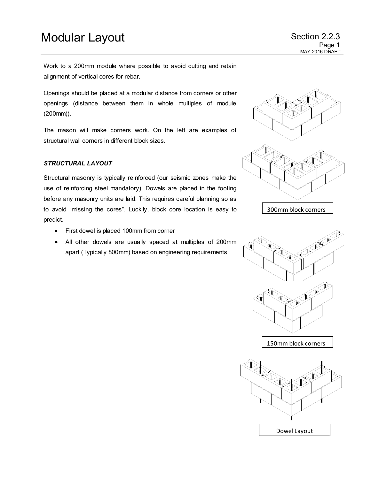## Modular Layout **Section 2.2.3**

Work to a 200mm module where possible to avoid cutting and retain alignment of vertical cores for rebar.

Openings should be placed at a modular distance from corners or other openings (distance between them in whole multiples of module (200mm)).

The mason will make corners work. On the left are examples of structural wall corners in different block sizes.

### *STRUCTURAL LAYOUT*

Structural masonry is typically reinforced (our seismic zones make the use of reinforcing steel mandatory). Dowels are placed in the footing before any masonry units are laid. This requires careful planning so as to avoid "missing the cores". Luckily, block core location is easy to predict.

- First dowel is placed 100mm from corner
- All other dowels are usually spaced at multiples of 200mm apart (Typically 800mm) based on engineering requirements



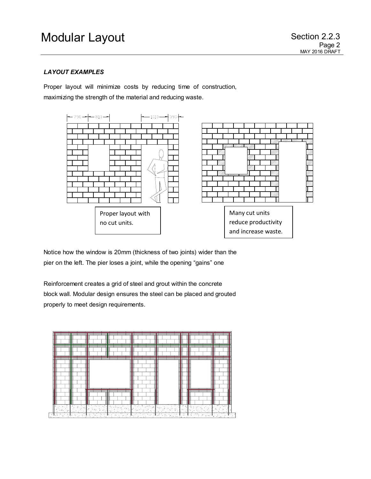### *LAYOUT EXAMPLES*

Proper layout will minimize costs by reducing time of construction, maximizing the strength of the material and reducing waste.



Notice how the window is 20mm (thickness of two joints) wider than the pier on the left. The pier loses a joint, while the opening "gains" one

Reinforcement creates a grid of steel and grout within the concrete block wall. Modular design ensures the steel can be placed and grouted properly to meet design requirements.